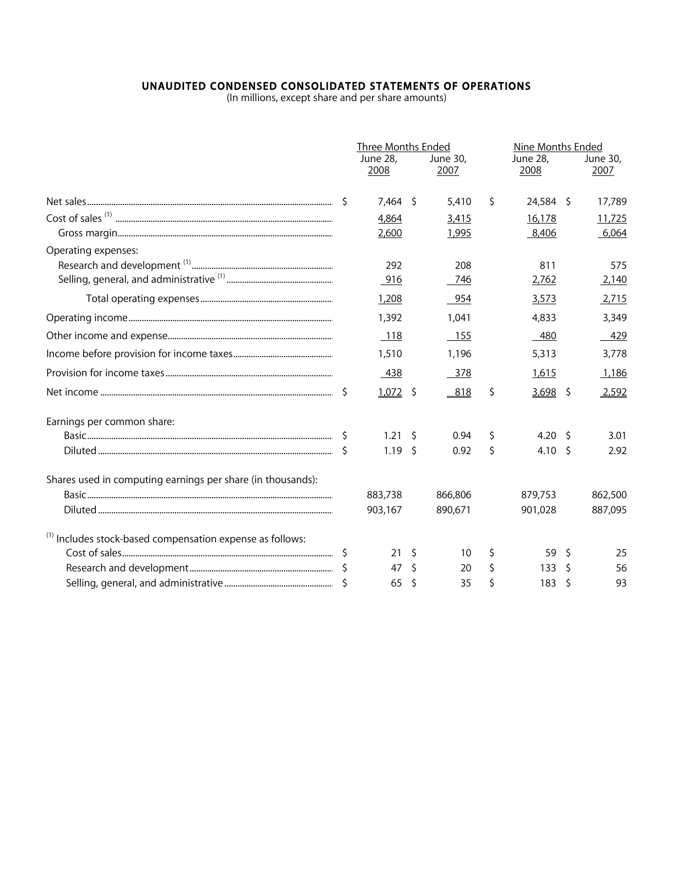## **UNAUDITED CONDENSED CONSOLIDATED STATEMENTS OF OPERATIONS**<br>(In millions, except share and per share amounts)

|                                                                      |              | <b>Three Months Ended</b><br>June 28,<br>2008 |              | June 30,<br>2007 | Nine Months Ended<br>June 28,<br>2008 |               | June 30,<br>2007 |
|----------------------------------------------------------------------|--------------|-----------------------------------------------|--------------|------------------|---------------------------------------|---------------|------------------|
|                                                                      | -S           | $7,464$ \$                                    |              | 5,410            | \$<br>24,584 \$                       |               | 17,789           |
|                                                                      |              | 4,864                                         |              | 3,415            | 16,178                                |               | 11,725           |
|                                                                      |              | 2,600                                         |              | 1,995            | 8,406                                 |               | 6,064            |
| Operating expenses:                                                  |              |                                               |              |                  |                                       |               |                  |
|                                                                      |              | 292                                           |              | 208              | 811                                   |               | 575              |
|                                                                      |              | 916                                           |              | 746              | 2,762                                 |               | 2,140            |
|                                                                      |              | 1,208                                         |              | 954              | 3,573                                 |               | 2,715            |
|                                                                      |              | 1,392                                         |              | 1,041            | 4,833                                 |               | 3,349            |
|                                                                      |              | 118                                           |              | 155              | 480                                   |               | 429              |
|                                                                      |              | 1,510                                         |              | 1,196            | 5,313                                 |               | 3,778            |
|                                                                      |              | 438                                           |              | 378              | 1,615                                 |               | 1,186            |
|                                                                      | \$           | 1,072                                         | \$           | 818              | \$<br>3,698                           | -\$           | 2,592            |
| Earnings per common share:                                           |              |                                               |              |                  |                                       |               |                  |
|                                                                      | \$.          | 1.21                                          | Š.           | 0.94             | \$<br>4.20                            | <sup>S</sup>  | 3.01             |
|                                                                      |              | 1.19                                          | Ŝ.           | 0.92             | \$<br>4.10                            | <sup>\$</sup> | 2.92             |
| Shares used in computing earnings per share (in thousands):          |              |                                               |              |                  |                                       |               |                  |
|                                                                      |              | 883,738                                       |              | 866,806          | 879,753                               |               | 862,500          |
|                                                                      |              | 903,167                                       |              | 890,671          | 901,028                               |               | 887,095          |
| <sup>(1)</sup> Includes stock-based compensation expense as follows: |              |                                               |              |                  |                                       |               |                  |
|                                                                      | <sub>S</sub> | 21                                            | \$.          | 10               | \$<br>59                              | Ŝ             | 25               |
|                                                                      |              | 47                                            | Ŝ.           | 20               | \$<br>133                             | Ŝ.            | 56               |
|                                                                      |              | 65                                            | <sup>S</sup> | 35               | \$<br>183                             | Š.            | 93               |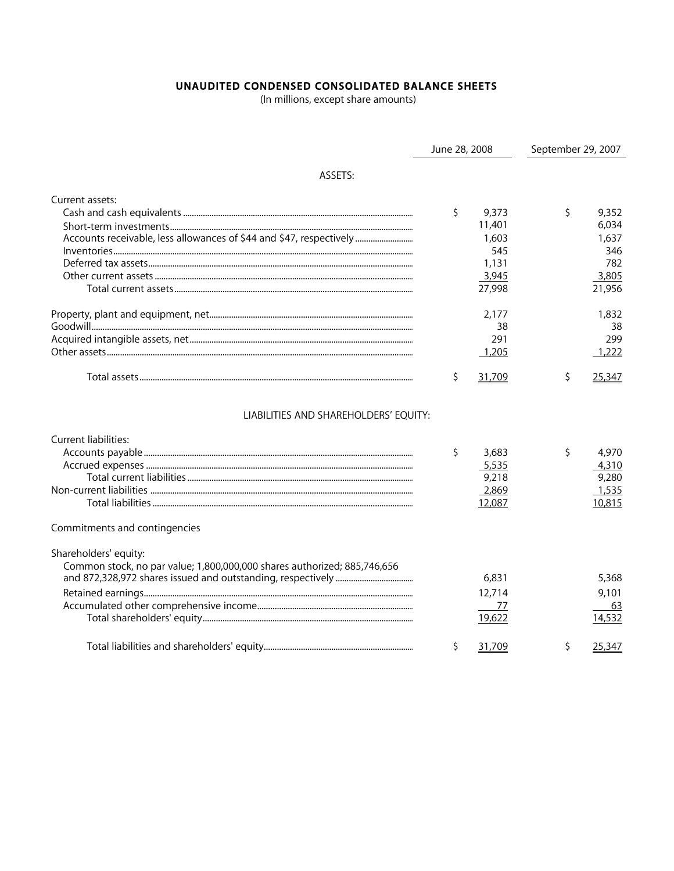## UNAUDITED CONDENSED CONSOLIDATED BALANCE SHEETS

(In millions, except share amounts)

|                                                                                                   | June 28, 2008 |                                                             | September 29, 2007 |                                                          |  |
|---------------------------------------------------------------------------------------------------|---------------|-------------------------------------------------------------|--------------------|----------------------------------------------------------|--|
| ASSETS:                                                                                           |               |                                                             |                    |                                                          |  |
| Current assets:<br>Accounts receivable, less allowances of \$44 and \$47, respectively            | \$            | 9,373<br>11,401<br>1,603<br>545<br>1,131<br>3,945<br>27,998 | \$                 | 9,352<br>6,034<br>1,637<br>346<br>782<br>3,805<br>21,956 |  |
|                                                                                                   |               | 2,177<br>38<br>291<br>1,205                                 |                    | 1,832<br>38<br>299<br>1,222                              |  |
|                                                                                                   | \$            | 31,709                                                      | \$                 | 25,347                                                   |  |
| LIABILITIES AND SHAREHOLDERS' EQUITY:<br>Current liabilities:<br>Commitments and contingencies    | \$            | 3,683<br>5,535<br>9,218<br>2,869<br>12,087                  | \$                 | 4,970<br>4,310<br>9,280<br>1,535<br>10,815               |  |
| Shareholders' equity:<br>Common stock, no par value; 1,800,000,000 shares authorized; 885,746,656 |               | 6,831<br>12,714<br>77<br>19,622                             |                    | 5,368<br>9,101<br>63<br>14,532                           |  |
|                                                                                                   | \$            | 31,709                                                      | \$                 | 25,347                                                   |  |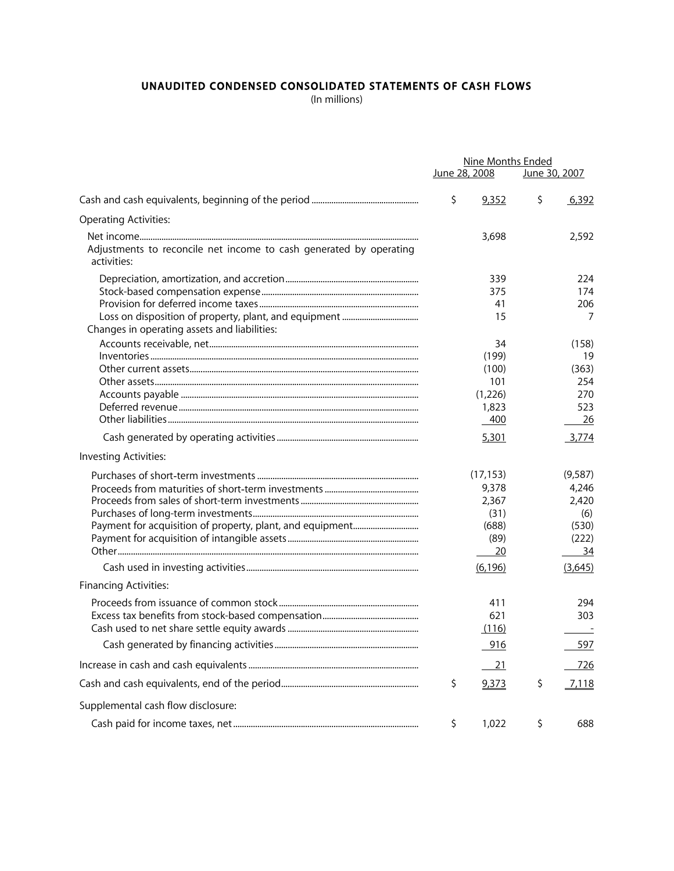## UNAUDITED CONDENSED CONSOLIDATED STATEMENTS OF CASH FLOWS

(In millions)

|                                                                                   | Nine Months Ended |           |    |               |
|-----------------------------------------------------------------------------------|-------------------|-----------|----|---------------|
|                                                                                   | June 28, 2008     |           |    | June 30, 2007 |
|                                                                                   | \$                | 9,352     | \$ | 6,392         |
| <b>Operating Activities:</b>                                                      |                   |           |    |               |
|                                                                                   |                   | 3,698     |    | 2,592         |
| Adjustments to reconcile net income to cash generated by operating<br>activities: |                   |           |    |               |
|                                                                                   |                   | 339       |    | 224           |
|                                                                                   |                   | 375       |    | 174           |
|                                                                                   |                   | 41        |    | 206           |
|                                                                                   |                   | 15        |    | 7             |
| Changes in operating assets and liabilities:                                      |                   |           |    |               |
|                                                                                   |                   | 34        |    | (158)         |
|                                                                                   |                   | (199)     |    | 19            |
|                                                                                   |                   | (100)     |    | (363)         |
|                                                                                   |                   | 101       |    | 254           |
|                                                                                   |                   | (1,226)   |    | 270           |
|                                                                                   |                   | 1,823     |    | 523           |
|                                                                                   |                   | 400       |    | 26            |
|                                                                                   |                   | 5,301     |    | 3,774         |
| Investing Activities:                                                             |                   |           |    |               |
|                                                                                   |                   | (17, 153) |    | (9,587)       |
|                                                                                   |                   | 9,378     |    | 4,246         |
|                                                                                   |                   | 2,367     |    | 2,420         |
|                                                                                   |                   | (31)      |    | (6)           |
|                                                                                   |                   | (688)     |    | (530)         |
|                                                                                   |                   | (89)      |    | (222)         |
|                                                                                   |                   | 20        |    | 34            |
|                                                                                   |                   | (6, 196)  |    | (3,645)       |
| <b>Financing Activities:</b>                                                      |                   |           |    |               |
|                                                                                   |                   | 411       |    | 294           |
|                                                                                   |                   | 621       |    | 303           |
|                                                                                   |                   | (116)     |    |               |
|                                                                                   |                   | 916       |    | 597           |
|                                                                                   |                   | <u>21</u> |    | 726           |
|                                                                                   | \$                | 9,373     | \$ | 7,118         |
| Supplemental cash flow disclosure:                                                |                   |           |    |               |
|                                                                                   |                   |           |    |               |
|                                                                                   | \$                | 1,022     | \$ | 688           |